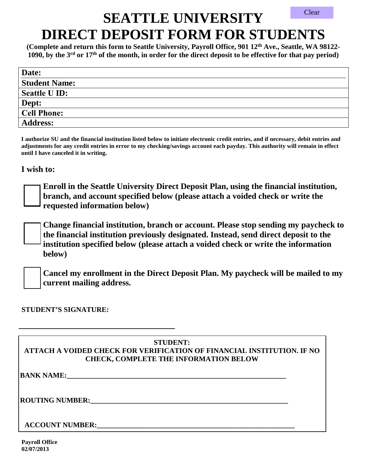## **SEATTLE UNIVERSITY DIRECT DEPOSIT FORM FOR STUDENTS** Clear

**(Complete and return this form to Seattle University, Payroll Office, 901 12th Ave., Seattle, WA 98122- 1090, by the 3rd or 17th of the month, in order for the direct deposit to be effective for that pay period)** 

| Date:                |
|----------------------|
| <b>Student Name:</b> |
| <b>Seattle U ID:</b> |
| Dept:                |
| <b>Cell Phone:</b>   |
| <b>Address:</b>      |

**I authorize SU and the financial institution listed below to initiate electronic credit entries, and if necessary, debit entries and adjustments for any credit entries in error to my checking/savings account each payday. This authority will remain in effect until I have canceled it in writing.** 

**I wish to:** 

**Enroll in the Seattle University Direct Deposit Plan, using the financial institution, branch, and account specified below (please attach a voided check or write the requested information below)**

**Change financial institution, branch or account. Please stop sending my paycheck to the financial institution previously designated. Instead, send direct deposit to the institution specified below (please attach a voided check or write the information below)**

**Cancel my enrollment in the Direct Deposit Plan. My paycheck will be mailed to my current mailing address.**

**STUDENT'S SIGNATURE:**

## **STUDENT: ATTACH A VOIDED CHECK FOR VERIFICATION OF FINANCIAL INSTITUTION. IF NO CHECK, COMPLETE THE INFORMATION BELOW**

**BANK NAME:\_\_\_\_\_** 

**ROUTING NUMBER:** 

**ACCOUNT NUMBER:\_\_\_\_\_\_\_\_\_\_\_\_\_\_\_\_\_\_\_\_\_\_\_\_\_\_\_\_\_\_\_\_\_\_\_\_\_\_\_\_\_\_\_\_\_\_\_\_\_\_\_\_\_\_\_** 

**Payroll Office 02/07/2013**